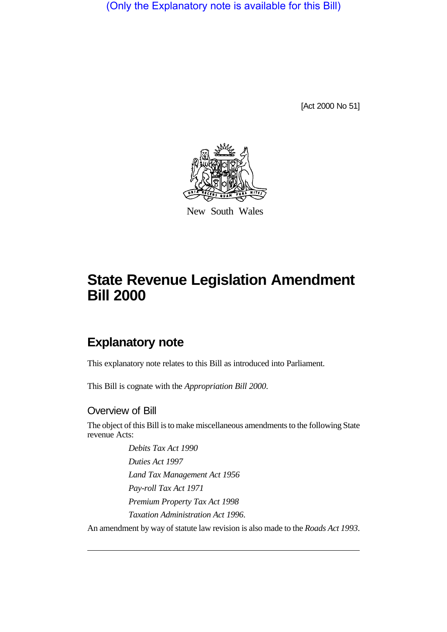(Only the Explanatory note is available for this Bill)

[Act 2000 No 51]



New South Wales

# **State Revenue Legislation Amendment Bill 2000**

## **Explanatory note**

This explanatory note relates to this Bill as introduced into Parliament.

This Bill is cognate with the *Appropriation Bill 2000*.

#### Overview of Bill

The object of this Bill is to make miscellaneous amendments to the following State revenue Acts:

> *Debits Tax Act 1990 Duties Act 1997 Land Tax Management Act 1956 Pay-roll Tax Act 1971 Premium Property Tax Act 1998 Taxation Administration Act 1996*.

An amendment by way of statute law revision is also made to the *Roads Act 1993*.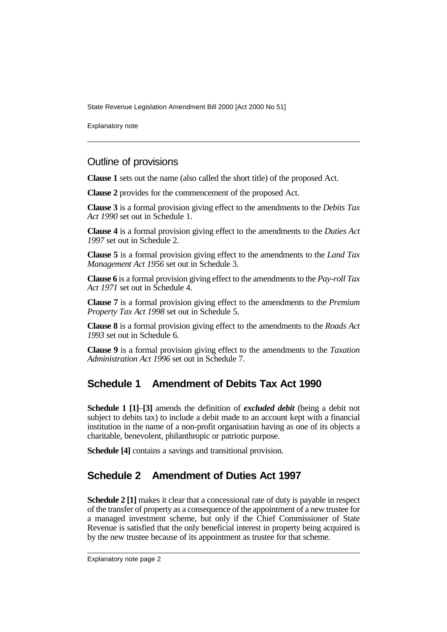Explanatory note

#### Outline of provisions

**Clause 1** sets out the name (also called the short title) of the proposed Act.

**Clause 2** provides for the commencement of the proposed Act.

**Clause 3** is a formal provision giving effect to the amendments to the *Debits Tax Act 1990* set out in Schedule 1.

**Clause 4** is a formal provision giving effect to the amendments to the *Duties Act 1997* set out in Schedule 2.

**Clause 5** is a formal provision giving effect to the amendments to the *Land Tax Management Act 1956* set out in Schedule 3.

**Clause 6** is a formal provision giving effect to the amendments to the *Pay-roll Tax Act 1971* set out in Schedule 4.

**Clause 7** is a formal provision giving effect to the amendments to the *Premium Property Tax Act 1998* set out in Schedule 5.

**Clause 8** is a formal provision giving effect to the amendments to the *Roads Act 1993* set out in Schedule 6.

**Clause 9** is a formal provision giving effect to the amendments to the *Taxation Administration Act 1996* set out in Schedule 7.

### **Schedule 1 Amendment of Debits Tax Act 1990**

**Schedule 1 [1]**–**[3]** amends the definition of *excluded debit* (being a debit not subject to debits tax) to include a debit made to an account kept with a financial institution in the name of a non-profit organisation having as one of its objects a charitable, benevolent, philanthropic or patriotic purpose.

**Schedule [4]** contains a savings and transitional provision.

#### **Schedule 2 Amendment of Duties Act 1997**

**Schedule 2 [1]** makes it clear that a concessional rate of duty is payable in respect of the transfer of property as a consequence of the appointment of a new trustee for a managed investment scheme, but only if the Chief Commissioner of State Revenue is satisfied that the only beneficial interest in property being acquired is by the new trustee because of its appointment as trustee for that scheme.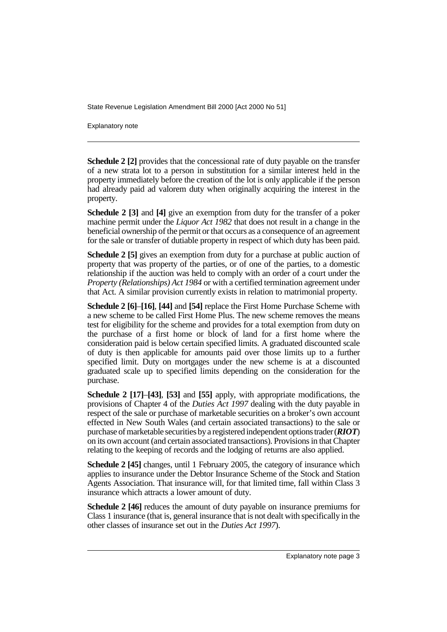Explanatory note

**Schedule 2 [2]** provides that the concessional rate of duty payable on the transfer of a new strata lot to a person in substitution for a similar interest held in the property immediately before the creation of the lot is only applicable if the person had already paid ad valorem duty when originally acquiring the interest in the property.

**Schedule 2 [3]** and **[4]** give an exemption from duty for the transfer of a poker machine permit under the *Liquor Act 1982* that does not result in a change in the beneficial ownership of the permit or that occurs as a consequence of an agreement for the sale or transfer of dutiable property in respect of which duty has been paid.

**Schedule 2 [5]** gives an exemption from duty for a purchase at public auction of property that was property of the parties, or of one of the parties, to a domestic relationship if the auction was held to comply with an order of a court under the *Property (Relationships) Act 1984* or with a certified termination agreement under that Act. A similar provision currently exists in relation to matrimonial property.

**Schedule 2 [6]**–**[16]**, **[44]** and **[54]** replace the First Home Purchase Scheme with a new scheme to be called First Home Plus. The new scheme removes the means test for eligibility for the scheme and provides for a total exemption from duty on the purchase of a first home or block of land for a first home where the consideration paid is below certain specified limits. A graduated discounted scale of duty is then applicable for amounts paid over those limits up to a further specified limit. Duty on mortgages under the new scheme is at a discounted graduated scale up to specified limits depending on the consideration for the purchase.

**Schedule 2 [17]**–**[43]**, **[53]** and **[55]** apply, with appropriate modifications, the provisions of Chapter 4 of the *Duties Act 1997* dealing with the duty payable in respect of the sale or purchase of marketable securities on a broker's own account effected in New South Wales (and certain associated transactions) to the sale or purchase of marketable securities by a registered independent options trader (*RIOT*) on its own account (and certain associated transactions). Provisions in that Chapter relating to the keeping of records and the lodging of returns are also applied.

**Schedule 2 [45]** changes, until 1 February 2005, the category of insurance which applies to insurance under the Debtor Insurance Scheme of the Stock and Station Agents Association. That insurance will, for that limited time, fall within Class 3 insurance which attracts a lower amount of duty.

**Schedule 2 [46]** reduces the amount of duty payable on insurance premiums for Class 1 insurance (that is, general insurance that is not dealt with specifically in the other classes of insurance set out in the *Duties Act 1997*).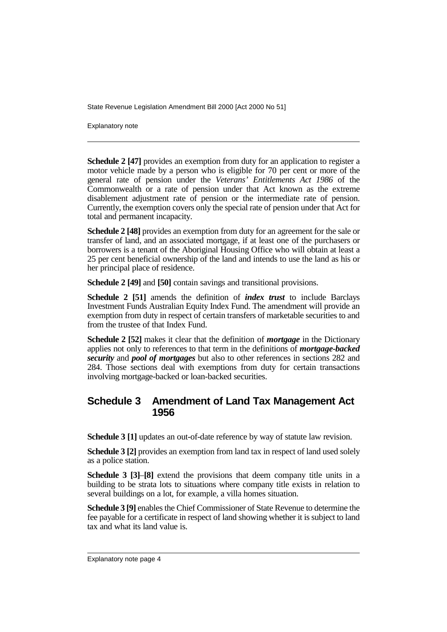Explanatory note

**Schedule 2 [47]** provides an exemption from duty for an application to register a motor vehicle made by a person who is eligible for 70 per cent or more of the general rate of pension under the *Veterans' Entitlements Act 1986* of the Commonwealth or a rate of pension under that Act known as the extreme disablement adjustment rate of pension or the intermediate rate of pension. Currently, the exemption covers only the special rate of pension under that Act for total and permanent incapacity.

**Schedule 2 [48]** provides an exemption from duty for an agreement for the sale or transfer of land, and an associated mortgage, if at least one of the purchasers or borrowers is a tenant of the Aboriginal Housing Office who will obtain at least a 25 per cent beneficial ownership of the land and intends to use the land as his or her principal place of residence.

**Schedule 2 [49]** and **[50]** contain savings and transitional provisions.

**Schedule 2 [51]** amends the definition of *index trust* to include Barclays Investment Funds Australian Equity Index Fund. The amendment will provide an exemption from duty in respect of certain transfers of marketable securities to and from the trustee of that Index Fund.

**Schedule 2 [52]** makes it clear that the definition of *mortgage* in the Dictionary applies not only to references to that term in the definitions of *mortgage-backed security* and *pool of mortgages* but also to other references in sections 282 and 284. Those sections deal with exemptions from duty for certain transactions involving mortgage-backed or loan-backed securities.

#### **Schedule 3 Amendment of Land Tax Management Act 1956**

**Schedule 3 [1]** updates an out-of-date reference by way of statute law revision.

**Schedule 3 [2]** provides an exemption from land tax in respect of land used solely as a police station.

**Schedule 3 [3]**–**[8]** extend the provisions that deem company title units in a building to be strata lots to situations where company title exists in relation to several buildings on a lot, for example, a villa homes situation.

**Schedule 3 [9]** enables the Chief Commissioner of State Revenue to determine the fee payable for a certificate in respect of land showing whether it is subject to land tax and what its land value is.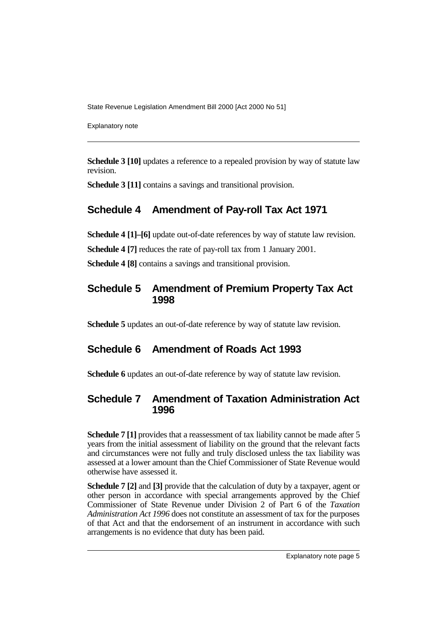Explanatory note

**Schedule 3 [10]** updates a reference to a repealed provision by way of statute law revision.

**Schedule 3 [11]** contains a savings and transitional provision.

### **Schedule 4 Amendment of Pay-roll Tax Act 1971**

**Schedule 4 [1]–[6]** update out-of-date references by way of statute law revision.

**Schedule 4 [7]** reduces the rate of pay-roll tax from 1 January 2001.

**Schedule 4 [8]** contains a savings and transitional provision.

#### **Schedule 5 Amendment of Premium Property Tax Act 1998**

**Schedule 5** updates an out-of-date reference by way of statute law revision.

#### **Schedule 6 Amendment of Roads Act 1993**

**Schedule 6** updates an out-of-date reference by way of statute law revision.

#### **Schedule 7 Amendment of Taxation Administration Act 1996**

**Schedule 7 [1]** provides that a reassessment of tax liability cannot be made after 5 years from the initial assessment of liability on the ground that the relevant facts and circumstances were not fully and truly disclosed unless the tax liability was assessed at a lower amount than the Chief Commissioner of State Revenue would otherwise have assessed it.

**Schedule 7 [2]** and **[3]** provide that the calculation of duty by a taxpayer, agent or other person in accordance with special arrangements approved by the Chief Commissioner of State Revenue under Division 2 of Part 6 of the *Taxation Administration Act 1996* does not constitute an assessment of tax for the purposes of that Act and that the endorsement of an instrument in accordance with such arrangements is no evidence that duty has been paid.